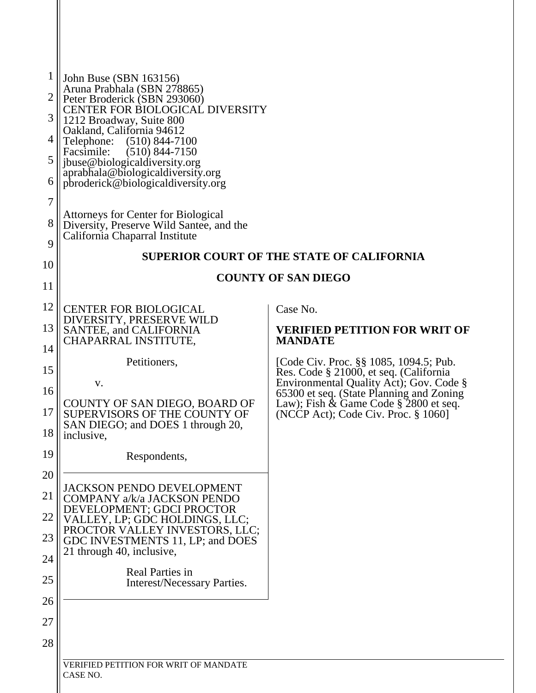| 1  | John Buse (SBN 163156)<br>Aruna Prabhala (SBN 278865)                                  |                                                                                     |
|----|----------------------------------------------------------------------------------------|-------------------------------------------------------------------------------------|
| 2  | Peter Broderick (SBN 293060)<br><b>CENTER FOR BIOLOGICAL DIVERSITY</b>                 |                                                                                     |
| 3  | 1212 Broadway, Suite 800<br>Oakland, California 94612                                  |                                                                                     |
| 4  | Telephone: (510) 844-7100<br>Facsimile:<br>$(510)$ 844-7150                            |                                                                                     |
| 5  | jbuse@biologicaldiversity.org<br>aprabhala@biologicaldiversity.org                     |                                                                                     |
| 6  | pbroderick@biologicaldiversity.org                                                     |                                                                                     |
| 7  |                                                                                        |                                                                                     |
| 8  | <b>Attorneys for Center for Biological</b><br>Diversity, Preserve Wild Santee, and the |                                                                                     |
| 9  | California Chaparral Institute                                                         |                                                                                     |
| 10 |                                                                                        | <b>SUPERIOR COURT OF THE STATE OF CALIFORNIA</b>                                    |
| 11 |                                                                                        | <b>COUNTY OF SAN DIEGO</b>                                                          |
| 12 | <b>CENTER FOR BIOLOGICAL</b>                                                           | Case No.                                                                            |
| 13 | DIVERSITY, PRESERVE WILD<br><b>SANTEE, and CALIFORNIA</b>                              | <b>VERIFIED PETITION FOR WRIT OF</b>                                                |
| 14 | CHAPARRAL INSTITUTE,                                                                   | <b>MANDATE</b>                                                                      |
| 15 | Petitioners,                                                                           | [Code Civ. Proc. §§ 1085, 1094.5; Pub.<br>Res. Code § 21000, et seq. (California    |
| 16 | V.                                                                                     | Environmental Quality Act); Gov. Code §<br>65300 et seq. (State Planning and Zoning |
| 17 | COUNTY OF SAN DIEGO, BOARD OF<br>SUPERVISORS OF THE COUNTY OF                          | Law); Fish $\&$ Game Code $\S$ 2800 et seq.                                         |
| 18 | SAN DIEGO; and DOES 1 through 20,                                                      | (NCCP Act); Code Civ. Proc. § 1060]                                                 |
| 19 | inclusive,                                                                             |                                                                                     |
|    | Respondents,                                                                           |                                                                                     |
| 20 | <b>JACKSON PENDO DEVELOPMENT</b>                                                       |                                                                                     |
| 21 | COMPANY a/k/a JACKSON PENDO<br>DEVELOPMENT; GDCI PROCTOR                               |                                                                                     |
| 22 | VALLEY, LP; GDC HOLDINGS, LLC;<br>PROCTOR VALLEY INVESTORS, LLC;                       |                                                                                     |
| 23 | GDC INVESTMENTS 11, LP; and DOES<br>21 through 40, inclusive,                          |                                                                                     |
| 24 | <b>Real Parties in</b>                                                                 |                                                                                     |
| 25 | <b>Interest/Necessary Parties.</b>                                                     |                                                                                     |
| 26 |                                                                                        |                                                                                     |
| 27 |                                                                                        |                                                                                     |
| 28 |                                                                                        |                                                                                     |
|    | VERIFIED PETITION FOR WRIT OF MANDATE                                                  |                                                                                     |
|    | CASE NO.                                                                               |                                                                                     |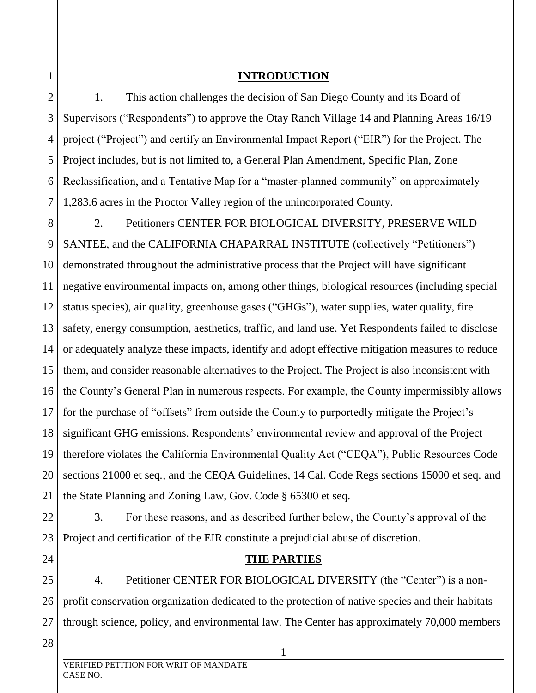### **INTRODUCTION**

2 3 4 5 6 7 1. This action challenges the decision of San Diego County and its Board of Supervisors ("Respondents") to approve the Otay Ranch Village 14 and Planning Areas 16/19 project ("Project") and certify an Environmental Impact Report ("EIR") for the Project. The Project includes, but is not limited to, a General Plan Amendment, Specific Plan, Zone Reclassification, and a Tentative Map for a "master-planned community" on approximately 1,283.6 acres in the Proctor Valley region of the unincorporated County.

8 9 10 11 12 13 14 15 16 17 18 19 20 21 2. Petitioners CENTER FOR BIOLOGICAL DIVERSITY, PRESERVE WILD SANTEE, and the CALIFORNIA CHAPARRAL INSTITUTE (collectively "Petitioners") demonstrated throughout the administrative process that the Project will have significant negative environmental impacts on, among other things, biological resources (including special status species), air quality, greenhouse gases ("GHGs"), water supplies, water quality, fire safety, energy consumption, aesthetics, traffic, and land use. Yet Respondents failed to disclose or adequately analyze these impacts, identify and adopt effective mitigation measures to reduce them, and consider reasonable alternatives to the Project. The Project is also inconsistent with the County's General Plan in numerous respects. For example, the County impermissibly allows for the purchase of "offsets" from outside the County to purportedly mitigate the Project's significant GHG emissions. Respondents' environmental review and approval of the Project therefore violates the California Environmental Quality Act ("CEQA"), Public Resources Code sections 21000 et seq*.*, and the CEQA Guidelines, 14 Cal. Code Regs sections 15000 et seq. and the State Planning and Zoning Law, Gov. Code § 65300 et seq.

22

23

24

1

3. For these reasons, and as described further below, the County's approval of the Project and certification of the EIR constitute a prejudicial abuse of discretion.

### **THE PARTIES**

25 26 27 4. Petitioner CENTER FOR BIOLOGICAL DIVERSITY (the "Center") is a nonprofit conservation organization dedicated to the protection of native species and their habitats through science, policy, and environmental law. The Center has approximately 70,000 members

28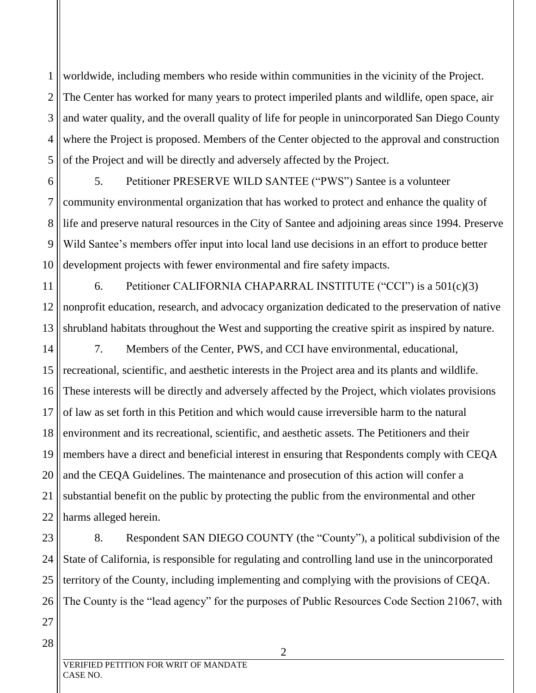1 2 3 4 5 worldwide, including members who reside within communities in the vicinity of the Project. The Center has worked for many years to protect imperiled plants and wildlife, open space, air and water quality, and the overall quality of life for people in unincorporated San Diego County where the Project is proposed. Members of the Center objected to the approval and construction of the Project and will be directly and adversely affected by the Project.

6 7 8 9 10 5. Petitioner PRESERVE WILD SANTEE ("PWS") Santee is a volunteer community environmental organization that has worked to protect and enhance the quality of life and preserve natural resources in the City of Santee and adjoining areas since 1994. Preserve Wild Santee's members offer input into local land use decisions in an effort to produce better development projects with fewer environmental and fire safety impacts.

11 12 13 6. Petitioner CALIFORNIA CHAPARRAL INSTITUTE ("CCI") is a 501(c)(3) nonprofit education, research, and advocacy organization dedicated to the preservation of native shrubland habitats throughout the West and supporting the creative spirit as inspired by nature.

14 15 16 17 18 19 20 21 22 7. Members of the Center, PWS, and CCI have environmental, educational, recreational, scientific, and aesthetic interests in the Project area and its plants and wildlife. These interests will be directly and adversely affected by the Project, which violates provisions of law as set forth in this Petition and which would cause irreversible harm to the natural environment and its recreational, scientific, and aesthetic assets. The Petitioners and their members have a direct and beneficial interest in ensuring that Respondents comply with CEQA and the CEQA Guidelines. The maintenance and prosecution of this action will confer a substantial benefit on the public by protecting the public from the environmental and other harms alleged herein.

23 24 25 26 27 8. Respondent SAN DIEGO COUNTY (the "County"), a political subdivision of the State of California, is responsible for regulating and controlling land use in the unincorporated territory of the County, including implementing and complying with the provisions of CEQA. The County is the "lead agency" for the purposes of Public Resources Code Section 21067, with

28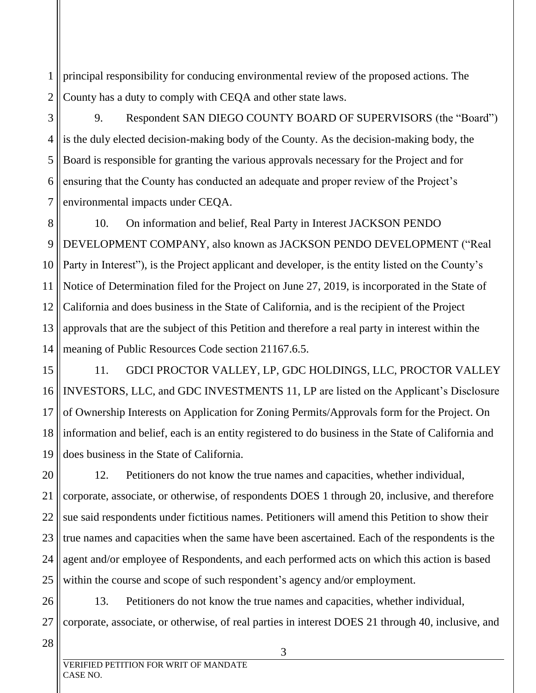1 2 principal responsibility for conducing environmental review of the proposed actions. The County has a duty to comply with CEQA and other state laws.

3 4 5 6 7 9. Respondent SAN DIEGO COUNTY BOARD OF SUPERVISORS (the "Board") is the duly elected decision-making body of the County. As the decision-making body, the Board is responsible for granting the various approvals necessary for the Project and for ensuring that the County has conducted an adequate and proper review of the Project's environmental impacts under CEQA.

8 9 10 11 12 13 14 10. On information and belief, Real Party in Interest JACKSON PENDO DEVELOPMENT COMPANY, also known as JACKSON PENDO DEVELOPMENT ("Real Party in Interest"), is the Project applicant and developer, is the entity listed on the County's Notice of Determination filed for the Project on June 27, 2019, is incorporated in the State of California and does business in the State of California, and is the recipient of the Project approvals that are the subject of this Petition and therefore a real party in interest within the meaning of Public Resources Code section 21167.6.5.

15 16 17 18 19 11. GDCI PROCTOR VALLEY, LP, GDC HOLDINGS, LLC, PROCTOR VALLEY INVESTORS, LLC, and GDC INVESTMENTS 11, LP are listed on the Applicant's Disclosure of Ownership Interests on Application for Zoning Permits/Approvals form for the Project. On information and belief, each is an entity registered to do business in the State of California and does business in the State of California.

20 21 22 23 24 25 12. Petitioners do not know the true names and capacities, whether individual, corporate, associate, or otherwise, of respondents DOES 1 through 20, inclusive, and therefore sue said respondents under fictitious names. Petitioners will amend this Petition to show their true names and capacities when the same have been ascertained. Each of the respondents is the agent and/or employee of Respondents, and each performed acts on which this action is based within the course and scope of such respondent's agency and/or employment.

26 27 13. Petitioners do not know the true names and capacities, whether individual, corporate, associate, or otherwise, of real parties in interest DOES 21 through 40, inclusive, and

28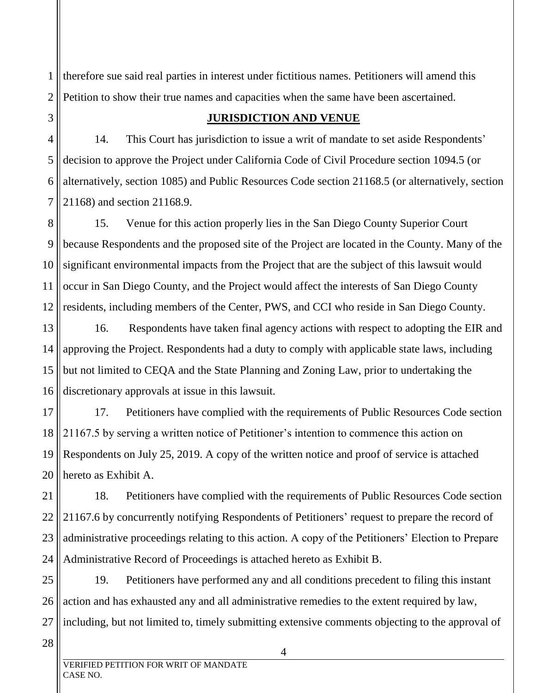1 2 therefore sue said real parties in interest under fictitious names. Petitioners will amend this Petition to show their true names and capacities when the same have been ascertained.

3

### **JURISDICTION AND VENUE**

4 5 6 7 14. This Court has jurisdiction to issue a writ of mandate to set aside Respondents' decision to approve the Project under California Code of Civil Procedure section 1094.5 (or alternatively, section 1085) and Public Resources Code section 21168.5 (or alternatively, section 21168) and section 21168.9.

8 9 10 11 12 15. Venue for this action properly lies in the San Diego County Superior Court because Respondents and the proposed site of the Project are located in the County. Many of the significant environmental impacts from the Project that are the subject of this lawsuit would occur in San Diego County, and the Project would affect the interests of San Diego County residents, including members of the Center, PWS, and CCI who reside in San Diego County.

13 14 15 16 16. Respondents have taken final agency actions with respect to adopting the EIR and approving the Project. Respondents had a duty to comply with applicable state laws, including but not limited to CEQA and the State Planning and Zoning Law, prior to undertaking the discretionary approvals at issue in this lawsuit.

17 18 19 20 17. Petitioners have complied with the requirements of Public Resources Code section 21167.5 by serving a written notice of Petitioner's intention to commence this action on Respondents on July 25, 2019. A copy of the written notice and proof of service is attached hereto as Exhibit A.

21 22 23 24 18. Petitioners have complied with the requirements of Public Resources Code section 21167.6 by concurrently notifying Respondents of Petitioners' request to prepare the record of administrative proceedings relating to this action. A copy of the Petitioners' Election to Prepare Administrative Record of Proceedings is attached hereto as Exhibit B.

25 26 27 19. Petitioners have performed any and all conditions precedent to filing this instant action and has exhausted any and all administrative remedies to the extent required by law, including, but not limited to, timely submitting extensive comments objecting to the approval of

28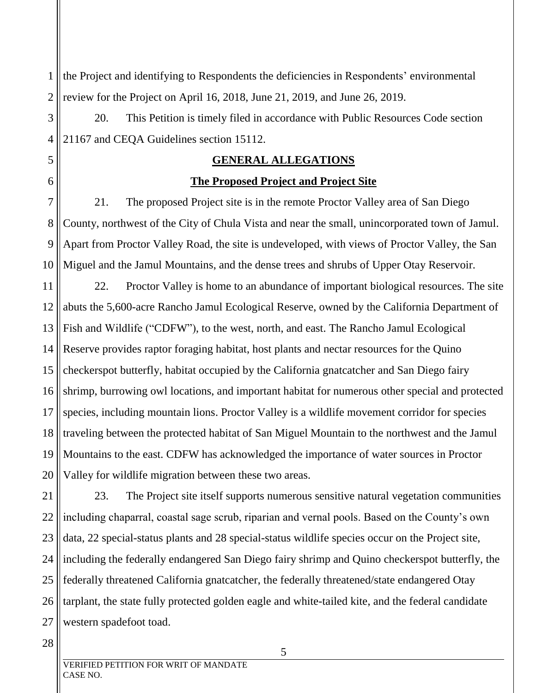1 2 the Project and identifying to Respondents the deficiencies in Respondents' environmental review for the Project on April 16, 2018, June 21, 2019, and June 26, 2019.

3 4 20. This Petition is timely filed in accordance with Public Resources Code section 21167 and CEQA Guidelines section 15112.

### **GENERAL ALLEGATIONS**

### **The Proposed Project and Project Site**

7 8 9 10 21. The proposed Project site is in the remote Proctor Valley area of San Diego County, northwest of the City of Chula Vista and near the small, unincorporated town of Jamul. Apart from Proctor Valley Road, the site is undeveloped, with views of Proctor Valley, the San Miguel and the Jamul Mountains, and the dense trees and shrubs of Upper Otay Reservoir.

11 12 13 14 15 16 17 18 19 20 22. Proctor Valley is home to an abundance of important biological resources. The site abuts the 5,600-acre Rancho Jamul Ecological Reserve, owned by the California Department of Fish and Wildlife ("CDFW"), to the west, north, and east. The Rancho Jamul Ecological Reserve provides raptor foraging habitat, host plants and nectar resources for the Quino checkerspot butterfly, habitat occupied by the California gnatcatcher and San Diego fairy shrimp, burrowing owl locations, and important habitat for numerous other special and protected species, including mountain lions. Proctor Valley is a wildlife movement corridor for species traveling between the protected habitat of San Miguel Mountain to the northwest and the Jamul Mountains to the east. CDFW has acknowledged the importance of water sources in Proctor Valley for wildlife migration between these two areas.

21 22 23 24 25 26 27 23. The Project site itself supports numerous sensitive natural vegetation communities including chaparral, coastal sage scrub, riparian and vernal pools. Based on the County's own data, 22 special-status plants and 28 special-status wildlife species occur on the Project site, including the federally endangered San Diego fairy shrimp and Quino checkerspot butterfly, the federally threatened California gnatcatcher, the federally threatened/state endangered Otay tarplant, the state fully protected golden eagle and white-tailed kite, and the federal candidate western spadefoot toad.

5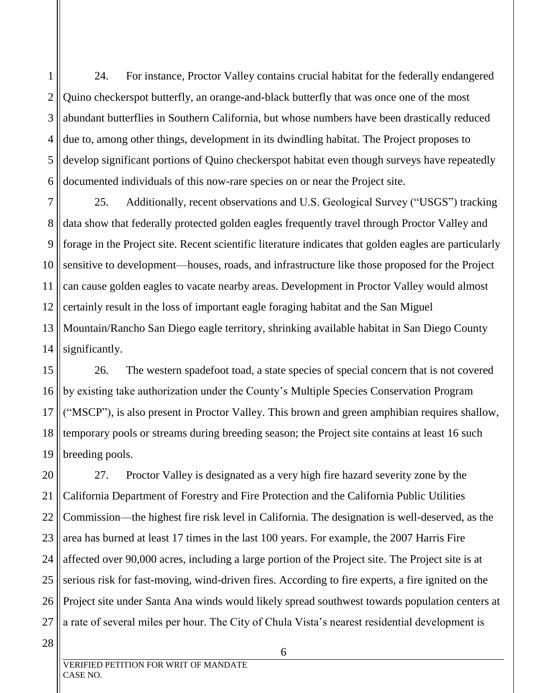1 2 3 4 5 6 24. For instance, Proctor Valley contains crucial habitat for the federally endangered Quino checkerspot butterfly, an orange-and-black butterfly that was once one of the most abundant butterflies in Southern California, but whose numbers have been drastically reduced due to, among other things, development in its dwindling habitat. The Project proposes to develop significant portions of Quino checkerspot habitat even though surveys have repeatedly documented individuals of this now-rare species on or near the Project site.

7 8 9 10 11 12 13 14 25. Additionally, recent observations and U.S. Geological Survey ("USGS") tracking data show that federally protected golden eagles frequently travel through Proctor Valley and forage in the Project site. Recent scientific literature indicates that golden eagles are particularly sensitive to development—houses, roads, and infrastructure like those proposed for the Project can cause golden eagles to vacate nearby areas. Development in Proctor Valley would almost certainly result in the loss of important eagle foraging habitat and the San Miguel Mountain/Rancho San Diego eagle territory, shrinking available habitat in San Diego County significantly.

15 16 17 18 19 26. The western spadefoot toad, a state species of special concern that is not covered by existing take authorization under the County's Multiple Species Conservation Program ("MSCP"), is also present in Proctor Valley. This brown and green amphibian requires shallow, temporary pools or streams during breeding season; the Project site contains at least 16 such breeding pools.

20 21 22 23 24 25 26 27 27. Proctor Valley is designated as a very high fire hazard severity zone by the California Department of Forestry and Fire Protection and the California Public Utilities Commission—the highest fire risk level in California. The designation is well-deserved, as the area has burned at least 17 times in the last 100 years. For example, the 2007 Harris Fire affected over 90,000 acres, including a large portion of the Project site. The Project site is at serious risk for fast-moving, wind-driven fires. According to fire experts, a fire ignited on the Project site under Santa Ana winds would likely spread southwest towards population centers at a rate of several miles per hour. The City of Chula Vista's nearest residential development is

28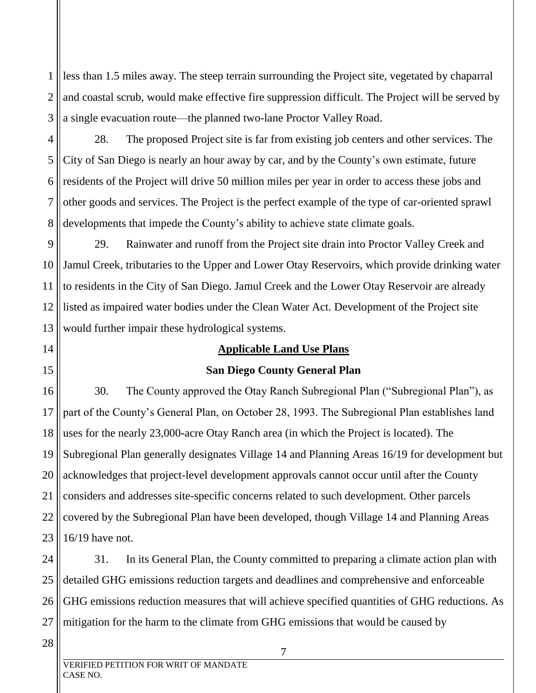1 2 3 less than 1.5 miles away. The steep terrain surrounding the Project site, vegetated by chaparral and coastal scrub, would make effective fire suppression difficult. The Project will be served by a single evacuation route—the planned two-lane Proctor Valley Road.

4 5 6 7 8 28. The proposed Project site is far from existing job centers and other services. The City of San Diego is nearly an hour away by car, and by the County's own estimate, future residents of the Project will drive 50 million miles per year in order to access these jobs and other goods and services. The Project is the perfect example of the type of car-oriented sprawl developments that impede the County's ability to achieve state climate goals.

9 10 11 12 13 29. Rainwater and runoff from the Project site drain into Proctor Valley Creek and Jamul Creek, tributaries to the Upper and Lower Otay Reservoirs, which provide drinking water to residents in the City of San Diego. Jamul Creek and the Lower Otay Reservoir are already listed as impaired water bodies under the Clean Water Act. Development of the Project site would further impair these hydrological systems.

### **Applicable Land Use Plans**

### **San Diego County General Plan**

16 17 18 19 20 21 22 23 30. The County approved the Otay Ranch Subregional Plan ("Subregional Plan"), as part of the County's General Plan, on October 28, 1993. The Subregional Plan establishes land uses for the nearly 23,000-acre Otay Ranch area (in which the Project is located). The Subregional Plan generally designates Village 14 and Planning Areas 16/19 for development but acknowledges that project-level development approvals cannot occur until after the County considers and addresses site-specific concerns related to such development. Other parcels covered by the Subregional Plan have been developed, though Village 14 and Planning Areas 16/19 have not.

24 25 26 27 31. In its General Plan, the County committed to preparing a climate action plan with detailed GHG emissions reduction targets and deadlines and comprehensive and enforceable GHG emissions reduction measures that will achieve specified quantities of GHG reductions. As mitigation for the harm to the climate from GHG emissions that would be caused by

28

14

15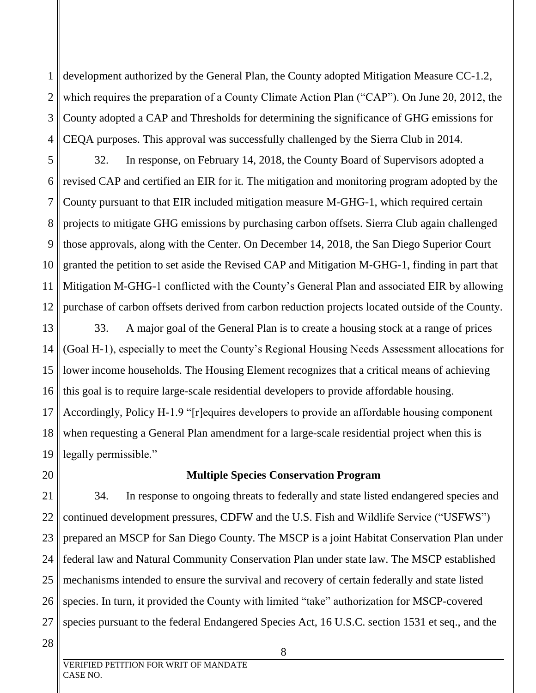1 2 3 4 development authorized by the General Plan, the County adopted Mitigation Measure CC-1.2, which requires the preparation of a County Climate Action Plan ("CAP"). On June 20, 2012, the County adopted a CAP and Thresholds for determining the significance of GHG emissions for CEQA purposes. This approval was successfully challenged by the Sierra Club in 2014.

5 6 7 8 9 10 11 12 32. In response, on February 14, 2018, the County Board of Supervisors adopted a revised CAP and certified an EIR for it. The mitigation and monitoring program adopted by the County pursuant to that EIR included mitigation measure M-GHG-1, which required certain projects to mitigate GHG emissions by purchasing carbon offsets. Sierra Club again challenged those approvals, along with the Center. On December 14, 2018, the San Diego Superior Court granted the petition to set aside the Revised CAP and Mitigation M-GHG-1, finding in part that Mitigation M-GHG-1 conflicted with the County's General Plan and associated EIR by allowing purchase of carbon offsets derived from carbon reduction projects located outside of the County.

13 14 15 16 17 18 19 33. A major goal of the General Plan is to create a housing stock at a range of prices (Goal H-1), especially to meet the County's Regional Housing Needs Assessment allocations for lower income households. The Housing Element recognizes that a critical means of achieving this goal is to require large-scale residential developers to provide affordable housing. Accordingly, Policy H-1.9 "[r]equires developers to provide an affordable housing component when requesting a General Plan amendment for a large-scale residential project when this is legally permissible."

# 20

### **Multiple Species Conservation Program**

21 22 23 24 25 26 27 34. In response to ongoing threats to federally and state listed endangered species and continued development pressures, CDFW and the U.S. Fish and Wildlife Service ("USFWS") prepared an MSCP for San Diego County. The MSCP is a joint Habitat Conservation Plan under federal law and Natural Community Conservation Plan under state law. The MSCP established mechanisms intended to ensure the survival and recovery of certain federally and state listed species. In turn, it provided the County with limited "take" authorization for MSCP-covered species pursuant to the federal Endangered Species Act, 16 U.S.C. section 1531 et seq., and the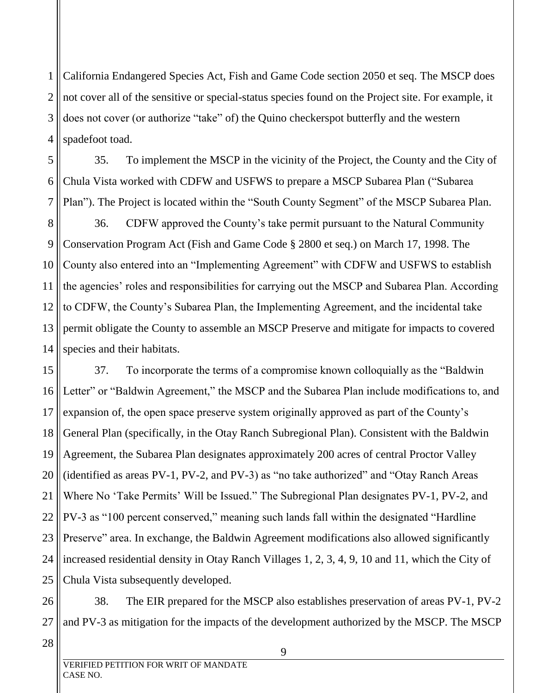1 2 3 4 California Endangered Species Act, Fish and Game Code section 2050 et seq. The MSCP does not cover all of the sensitive or special-status species found on the Project site. For example, it does not cover (or authorize "take" of) the Quino checkerspot butterfly and the western spadefoot toad.

5 6 7 35. To implement the MSCP in the vicinity of the Project, the County and the City of Chula Vista worked with CDFW and USFWS to prepare a MSCP Subarea Plan ("Subarea Plan"). The Project is located within the "South County Segment" of the MSCP Subarea Plan.

8 9 10 11 12 13 14 36. CDFW approved the County's take permit pursuant to the Natural Community Conservation Program Act (Fish and Game Code § 2800 et seq.) on March 17, 1998. The County also entered into an "Implementing Agreement" with CDFW and USFWS to establish the agencies' roles and responsibilities for carrying out the MSCP and Subarea Plan. According to CDFW, the County's Subarea Plan, the Implementing Agreement, and the incidental take permit obligate the County to assemble an MSCP Preserve and mitigate for impacts to covered species and their habitats.

15 16 17 18 19 20 21 22 23 24 25 37. To incorporate the terms of a compromise known colloquially as the "Baldwin Letter" or "Baldwin Agreement," the MSCP and the Subarea Plan include modifications to, and expansion of, the open space preserve system originally approved as part of the County's General Plan (specifically, in the Otay Ranch Subregional Plan). Consistent with the Baldwin Agreement, the Subarea Plan designates approximately 200 acres of central Proctor Valley (identified as areas PV-1, PV-2, and PV-3) as "no take authorized" and "Otay Ranch Areas Where No 'Take Permits' Will be Issued." The Subregional Plan designates PV-1, PV-2, and PV-3 as "100 percent conserved," meaning such lands fall within the designated "Hardline Preserve" area. In exchange, the Baldwin Agreement modifications also allowed significantly increased residential density in Otay Ranch Villages 1, 2, 3, 4, 9, 10 and 11, which the City of Chula Vista subsequently developed.

26 27 38. The EIR prepared for the MSCP also establishes preservation of areas PV-1, PV-2 and PV-3 as mitigation for the impacts of the development authorized by the MSCP. The MSCP

28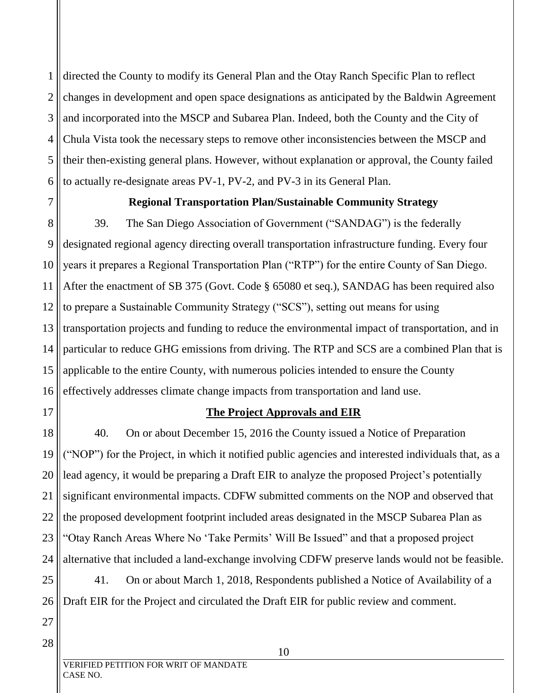1 2 3 4 5 6 directed the County to modify its General Plan and the Otay Ranch Specific Plan to reflect changes in development and open space designations as anticipated by the Baldwin Agreement and incorporated into the MSCP and Subarea Plan. Indeed, both the County and the City of Chula Vista took the necessary steps to remove other inconsistencies between the MSCP and their then-existing general plans. However, without explanation or approval, the County failed to actually re-designate areas PV-1, PV-2, and PV-3 in its General Plan.

7 8

### **Regional Transportation Plan/Sustainable Community Strategy**

9 10 11 12 13 14 15 16 39. The San Diego Association of Government ("SANDAG") is the federally designated regional agency directing overall transportation infrastructure funding. Every four years it prepares a Regional Transportation Plan ("RTP") for the entire County of San Diego. After the enactment of SB 375 (Govt. Code § 65080 et seq.), SANDAG has been required also to prepare a Sustainable Community Strategy ("SCS"), setting out means for using transportation projects and funding to reduce the environmental impact of transportation, and in particular to reduce GHG emissions from driving. The RTP and SCS are a combined Plan that is applicable to the entire County, with numerous policies intended to ensure the County effectively addresses climate change impacts from transportation and land use.

17

### **The Project Approvals and EIR**

18 19 20 21 22 23 24 25 26 40. On or about December 15, 2016 the County issued a Notice of Preparation ("NOP") for the Project, in which it notified public agencies and interested individuals that, as a lead agency, it would be preparing a Draft EIR to analyze the proposed Project's potentially significant environmental impacts. CDFW submitted comments on the NOP and observed that the proposed development footprint included areas designated in the MSCP Subarea Plan as "Otay Ranch Areas Where No 'Take Permits' Will Be Issued" and that a proposed project alternative that included a land-exchange involving CDFW preserve lands would not be feasible. 41. On or about March 1, 2018, Respondents published a Notice of Availability of a Draft EIR for the Project and circulated the Draft EIR for public review and comment.

28

27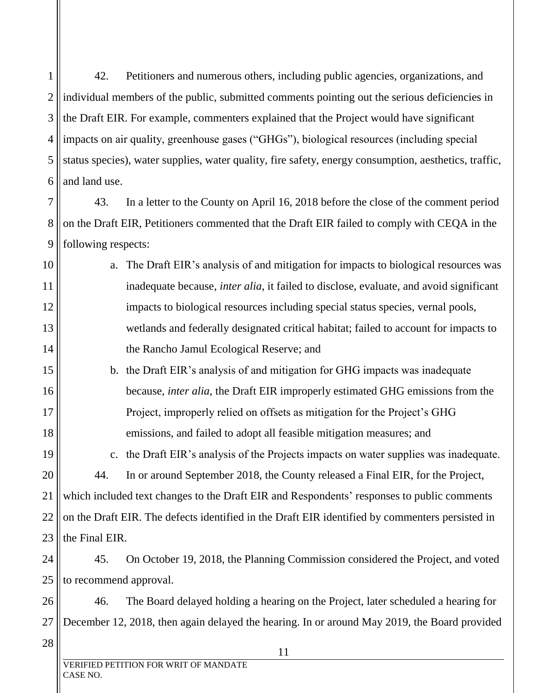1 2 3 4 5 6 42. Petitioners and numerous others, including public agencies, organizations, and individual members of the public, submitted comments pointing out the serious deficiencies in the Draft EIR. For example, commenters explained that the Project would have significant impacts on air quality, greenhouse gases ("GHGs"), biological resources (including special status species), water supplies, water quality, fire safety, energy consumption, aesthetics, traffic, and land use.

7 8 9 43. In a letter to the County on April 16, 2018 before the close of the comment period on the Draft EIR, Petitioners commented that the Draft EIR failed to comply with CEQA in the following respects:

- 10 11 12 13 14 a. The Draft EIR's analysis of and mitigation for impacts to biological resources was inadequate because, *inter alia*, it failed to disclose, evaluate, and avoid significant impacts to biological resources including special status species, vernal pools, wetlands and federally designated critical habitat; failed to account for impacts to the Rancho Jamul Ecological Reserve; and
	- b. the Draft EIR's analysis of and mitigation for GHG impacts was inadequate because, *inter alia*, the Draft EIR improperly estimated GHG emissions from the Project, improperly relied on offsets as mitigation for the Project's GHG emissions, and failed to adopt all feasible mitigation measures; and

19 20 c. the Draft EIR's analysis of the Projects impacts on water supplies was inadequate. 44. In or around September 2018, the County released a Final EIR, for the Project, which included text changes to the Draft EIR and Respondents' responses to public comments on the Draft EIR. The defects identified in the Draft EIR identified by commenters persisted in the Final EIR.

24 25 45. On October 19, 2018, the Planning Commission considered the Project, and voted to recommend approval.

26 27 46. The Board delayed holding a hearing on the Project, later scheduled a hearing for December 12, 2018, then again delayed the hearing. In or around May 2019, the Board provided

28

15

16

17

18

21

22

23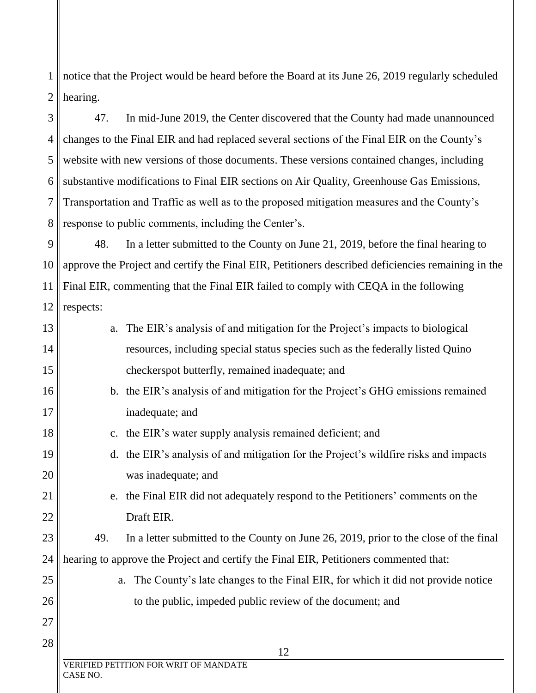1 2 notice that the Project would be heard before the Board at its June 26, 2019 regularly scheduled hearing.

3 4 5 6 7 8 47. In mid-June 2019, the Center discovered that the County had made unannounced changes to the Final EIR and had replaced several sections of the Final EIR on the County's website with new versions of those documents. These versions contained changes, including substantive modifications to Final EIR sections on Air Quality, Greenhouse Gas Emissions, Transportation and Traffic as well as to the proposed mitigation measures and the County's response to public comments, including the Center's.

9 10 11  $12$  | respects: 48. In a letter submitted to the County on June 21, 2019, before the final hearing to approve the Project and certify the Final EIR, Petitioners described deficiencies remaining in the Final EIR, commenting that the Final EIR failed to comply with CEQA in the following

| 13 |          | a. The EIR's analysis of and mitigation for the Project's impacts to biological       |
|----|----------|---------------------------------------------------------------------------------------|
| 14 |          | resources, including special status species such as the federally listed Quino        |
| 15 |          | checkerspot butterfly, remained inadequate; and                                       |
| 16 |          | b. the EIR's analysis of and mitigation for the Project's GHG emissions remained      |
| 17 |          | inadequate; and                                                                       |
| 18 |          | c. the EIR's water supply analysis remained deficient; and                            |
| 19 |          | d. the EIR's analysis of and mitigation for the Project's wildfire risks and impacts  |
| 20 |          | was inadequate; and                                                                   |
| 21 |          | e. the Final EIR did not adequately respond to the Petitioners' comments on the       |
| 22 |          | Draft EIR.                                                                            |
| 23 | 49.      | In a letter submitted to the County on June 26, 2019, prior to the close of the final |
| 24 |          | hearing to approve the Project and certify the Final EIR, Petitioners commented that: |
| 25 | a.       | The County's late changes to the Final EIR, for which it did not provide notice       |
| 26 |          | to the public, impeded public review of the document; and                             |
| 27 |          |                                                                                       |
| 28 |          | 12                                                                                    |
|    | CASE NO. | VERIFIED PETITION FOR WRIT OF MANDATE                                                 |

 $\parallel$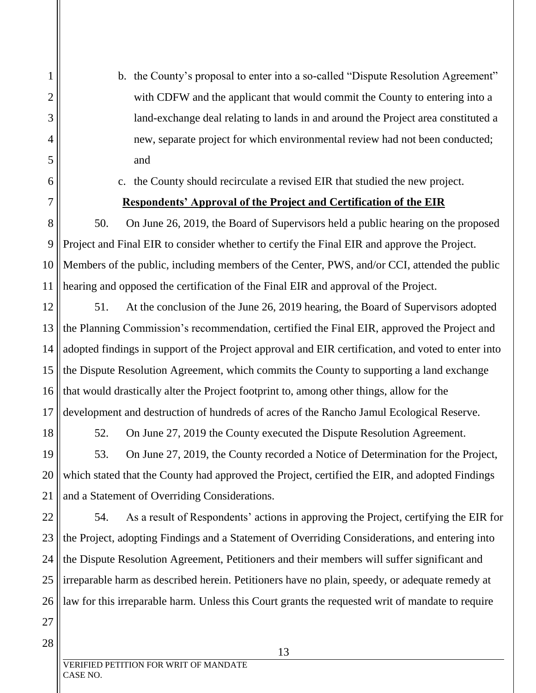b. the County's proposal to enter into a so-called "Dispute Resolution Agreement" with CDFW and the applicant that would commit the County to entering into a land-exchange deal relating to lands in and around the Project area constituted a new, separate project for which environmental review had not been conducted; and

c. the County should recirculate a revised EIR that studied the new project.

### **Respondents' Approval of the Project and Certification of the EIR**

50. On June 26, 2019, the Board of Supervisors held a public hearing on the proposed Project and Final EIR to consider whether to certify the Final EIR and approve the Project. Members of the public, including members of the Center, PWS, and/or CCI, attended the public hearing and opposed the certification of the Final EIR and approval of the Project.

51. At the conclusion of the June 26, 2019 hearing, the Board of Supervisors adopted the Planning Commission's recommendation, certified the Final EIR, approved the Project and adopted findings in support of the Project approval and EIR certification, and voted to enter into the Dispute Resolution Agreement, which commits the County to supporting a land exchange that would drastically alter the Project footprint to, among other things, allow for the development and destruction of hundreds of acres of the Rancho Jamul Ecological Reserve.

52. On June 27, 2019 the County executed the Dispute Resolution Agreement.

53. On June 27, 2019, the County recorded a Notice of Determination for the Project, which stated that the County had approved the Project, certified the EIR, and adopted Findings and a Statement of Overriding Considerations.

54. As a result of Respondents' actions in approving the Project, certifying the EIR for the Project, adopting Findings and a Statement of Overriding Considerations, and entering into the Dispute Resolution Agreement, Petitioners and their members will suffer significant and irreparable harm as described herein. Petitioners have no plain, speedy, or adequate remedy at law for this irreparable harm. Unless this Court grants the requested writ of mandate to require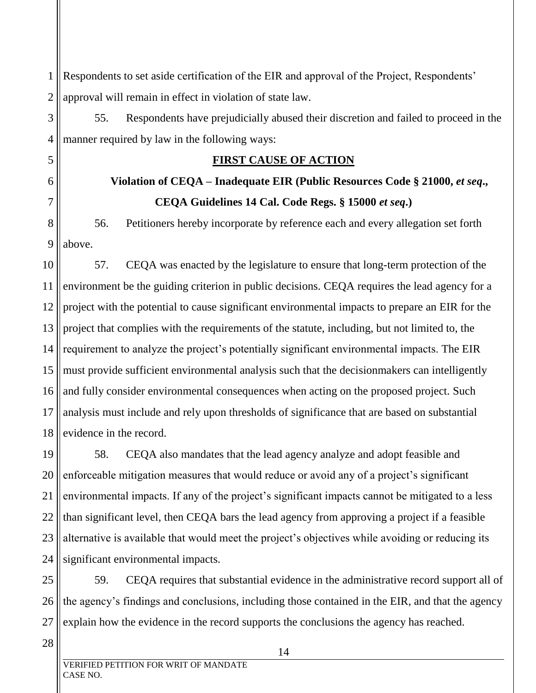1 2 Respondents to set aside certification of the EIR and approval of the Project, Respondents' approval will remain in effect in violation of state law.

55. Respondents have prejudicially abused their discretion and failed to proceed in the manner required by law in the following ways:

### **FIRST CAUSE OF ACTION**

# **Violation of CEQA – Inadequate EIR (Public Resources Code § 21000,** *et seq***., CEQA Guidelines 14 Cal. Code Regs. § 15000** *et seq***.)**

8 9 56. Petitioners hereby incorporate by reference each and every allegation set forth above.

10 11 12 13 14 15 16 17 18 57. CEQA was enacted by the legislature to ensure that long-term protection of the environment be the guiding criterion in public decisions. CEQA requires the lead agency for a project with the potential to cause significant environmental impacts to prepare an EIR for the project that complies with the requirements of the statute, including, but not limited to, the requirement to analyze the project's potentially significant environmental impacts. The EIR must provide sufficient environmental analysis such that the decisionmakers can intelligently and fully consider environmental consequences when acting on the proposed project. Such analysis must include and rely upon thresholds of significance that are based on substantial evidence in the record.

19 20 21 22 23 24 58. CEQA also mandates that the lead agency analyze and adopt feasible and enforceable mitigation measures that would reduce or avoid any of a project's significant environmental impacts. If any of the project's significant impacts cannot be mitigated to a less than significant level, then CEQA bars the lead agency from approving a project if a feasible alternative is available that would meet the project's objectives while avoiding or reducing its significant environmental impacts.

25 26 27 59. CEQA requires that substantial evidence in the administrative record support all of the agency's findings and conclusions, including those contained in the EIR, and that the agency explain how the evidence in the record supports the conclusions the agency has reached.

28

3

4

5

6

7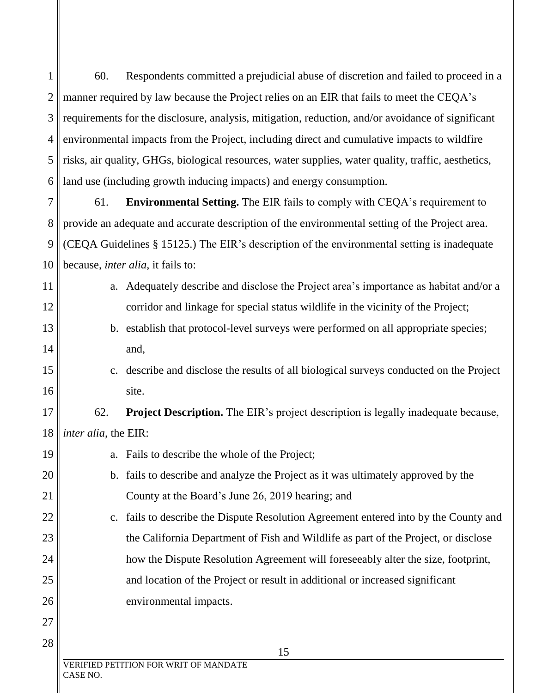1 2 3 4 5 6 60. Respondents committed a prejudicial abuse of discretion and failed to proceed in a manner required by law because the Project relies on an EIR that fails to meet the CEQA's requirements for the disclosure, analysis, mitigation, reduction, and/or avoidance of significant environmental impacts from the Project, including direct and cumulative impacts to wildfire risks, air quality, GHGs, biological resources, water supplies, water quality, traffic, aesthetics, land use (including growth inducing impacts) and energy consumption.

7 8 9 10 61. **Environmental Setting.** The EIR fails to comply with CEQA's requirement to provide an adequate and accurate description of the environmental setting of the Project area. (CEQA Guidelines § 15125.) The EIR's description of the environmental setting is inadequate because, *inter alia*, it fails to:

- a. Adequately describe and disclose the Project area's importance as habitat and/or a corridor and linkage for special status wildlife in the vicinity of the Project;
	- b. establish that protocol-level surveys were performed on all appropriate species; and,
- c. describe and disclose the results of all biological surveys conducted on the Project site.

17 18 62. **Project Description.** The EIR's project description is legally inadequate because, *inter alia*, the EIR:

- 19 20 21 22 23 24 25 a. Fails to describe the whole of the Project; b. fails to describe and analyze the Project as it was ultimately approved by the County at the Board's June 26, 2019 hearing; and c. fails to describe the Dispute Resolution Agreement entered into by the County and the California Department of Fish and Wildlife as part of the Project, or disclose how the Dispute Resolution Agreement will foreseeably alter the size, footprint, and location of the Project or result in additional or increased significant
	- VERIFIED PETITION FOR WRIT OF MANDATE CASE NO.

environmental impacts.

11

12

13

14

15

16

26

27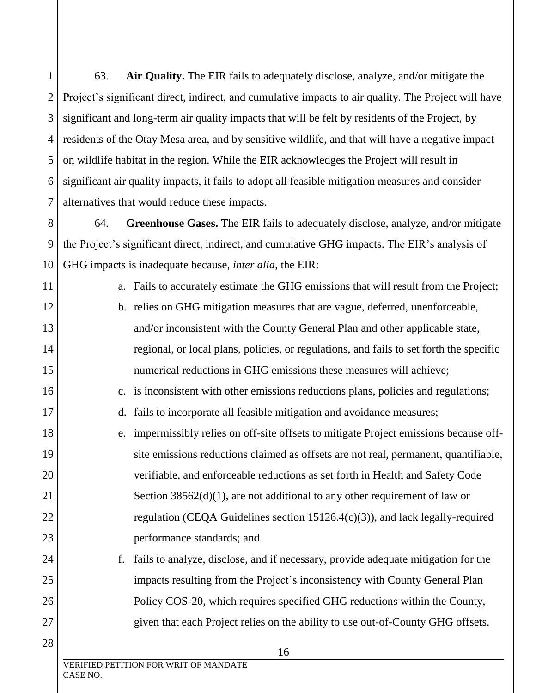1 2 3 4 5 6 7 63. **Air Quality.** The EIR fails to adequately disclose, analyze, and/or mitigate the Project's significant direct, indirect, and cumulative impacts to air quality. The Project will have significant and long-term air quality impacts that will be felt by residents of the Project, by residents of the Otay Mesa area, and by sensitive wildlife, and that will have a negative impact on wildlife habitat in the region. While the EIR acknowledges the Project will result in significant air quality impacts, it fails to adopt all feasible mitigation measures and consider alternatives that would reduce these impacts.

8 9 10 64. **Greenhouse Gases.** The EIR fails to adequately disclose, analyze, and/or mitigate the Project's significant direct, indirect, and cumulative GHG impacts. The EIR's analysis of GHG impacts is inadequate because, *inter alia*, the EIR:

a. Fails to accurately estimate the GHG emissions that will result from the Project;

b. relies on GHG mitigation measures that are vague, deferred, unenforceable, and/or inconsistent with the County General Plan and other applicable state, regional, or local plans, policies, or regulations, and fails to set forth the specific numerical reductions in GHG emissions these measures will achieve;

c. is inconsistent with other emissions reductions plans, policies and regulations;

- d. fails to incorporate all feasible mitigation and avoidance measures;
- e. impermissibly relies on off-site offsets to mitigate Project emissions because offsite emissions reductions claimed as offsets are not real, permanent, quantifiable, verifiable, and enforceable reductions as set forth in Health and Safety Code Section  $38562(d)(1)$ , are not additional to any other requirement of law or regulation (CEQA Guidelines section 15126.4(c)(3)), and lack legally-required performance standards; and
	- f. fails to analyze, disclose, and if necessary, provide adequate mitigation for the impacts resulting from the Project's inconsistency with County General Plan Policy COS-20, which requires specified GHG reductions within the County, given that each Project relies on the ability to use out-of-County GHG offsets.

11

12

13

14

15

16

17

18

19

20

21

22

23

24

25

26

27

28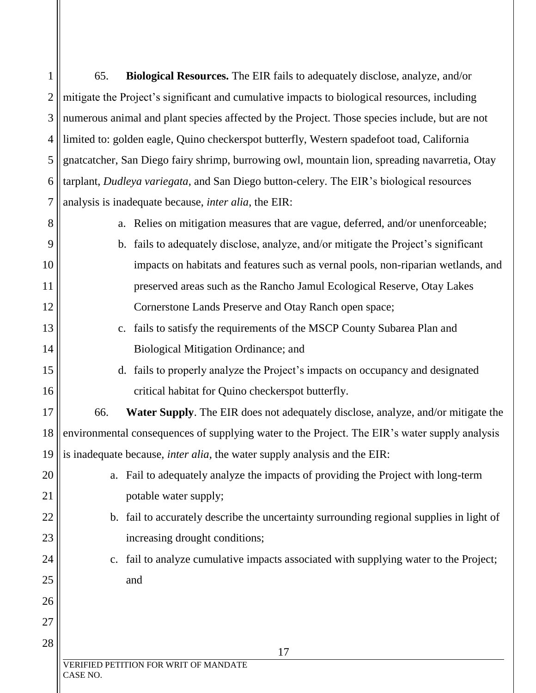| 1              | 65.<br><b>Biological Resources.</b> The EIR fails to adequately disclose, analyze, and/or            |
|----------------|------------------------------------------------------------------------------------------------------|
| $\overline{2}$ | mitigate the Project's significant and cumulative impacts to biological resources, including         |
| 3              | numerous animal and plant species affected by the Project. Those species include, but are not        |
| 4              | limited to: golden eagle, Quino checkerspot butterfly, Western spadefoot toad, California            |
| 5              | gnatcatcher, San Diego fairy shrimp, burrowing owl, mountain lion, spreading navarretia, Otay        |
| 6              | tarplant, Dudleya variegata, and San Diego button-celery. The EIR's biological resources             |
| $\overline{7}$ | analysis is inadequate because, inter alia, the EIR:                                                 |
| 8              | a. Relies on mitigation measures that are vague, deferred, and/or unenforceable;                     |
| 9              | b. fails to adequately disclose, analyze, and/or mitigate the Project's significant                  |
| 10             | impacts on habitats and features such as vernal pools, non-riparian wetlands, and                    |
| 11             | preserved areas such as the Rancho Jamul Ecological Reserve, Otay Lakes                              |
| 12             | Cornerstone Lands Preserve and Otay Ranch open space;                                                |
| 13             | c. fails to satisfy the requirements of the MSCP County Subarea Plan and                             |
| 14             | Biological Mitigation Ordinance; and                                                                 |
| 15             | d. fails to properly analyze the Project's impacts on occupancy and designated                       |
| 16             | critical habitat for Quino checkerspot butterfly.                                                    |
| 17             | 66.<br><b>Water Supply.</b> The EIR does not adequately disclose, analyze, and/or mitigate the       |
| 18             | environmental consequences of supplying water to the Project. The EIR's water supply analysis        |
| 19             | is inadequate because, <i>inter alia</i> , the water supply analysis and the EIR:                    |
| 20             | Fail to adequately analyze the impacts of providing the Project with long-term<br>a.                 |
| 21             | potable water supply;                                                                                |
| 22             | b. fail to accurately describe the uncertainty surrounding regional supplies in light of             |
| 23             | increasing drought conditions;                                                                       |
| 24             | fail to analyze cumulative impacts associated with supplying water to the Project;<br>$\mathbf{c}$ . |
| 25             | and                                                                                                  |
| 26             |                                                                                                      |
| 27             |                                                                                                      |
| 28             | 17                                                                                                   |
|                | VERIFIED PETITION FOR WRIT OF MANDATE<br>CASE NO.                                                    |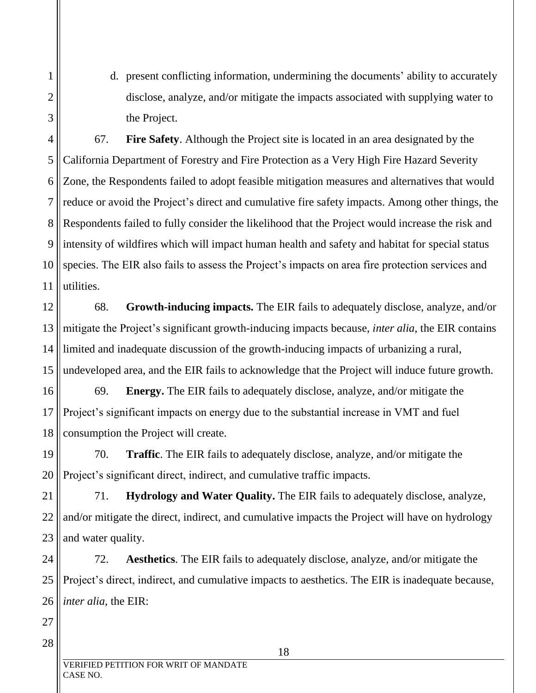d. present conflicting information, undermining the documents' ability to accurately disclose, analyze, and/or mitigate the impacts associated with supplying water to the Project.

67. **Fire Safety**. Although the Project site is located in an area designated by the California Department of Forestry and Fire Protection as a Very High Fire Hazard Severity Zone, the Respondents failed to adopt feasible mitigation measures and alternatives that would reduce or avoid the Project's direct and cumulative fire safety impacts. Among other things, the Respondents failed to fully consider the likelihood that the Project would increase the risk and intensity of wildfires which will impact human health and safety and habitat for special status species. The EIR also fails to assess the Project's impacts on area fire protection services and utilities.

68. **Growth-inducing impacts.** The EIR fails to adequately disclose, analyze, and/or mitigate the Project's significant growth-inducing impacts because, *inter alia*, the EIR contains limited and inadequate discussion of the growth-inducing impacts of urbanizing a rural, undeveloped area, and the EIR fails to acknowledge that the Project will induce future growth.

69. **Energy.** The EIR fails to adequately disclose, analyze, and/or mitigate the Project's significant impacts on energy due to the substantial increase in VMT and fuel consumption the Project will create.

70. **Traffic**. The EIR fails to adequately disclose, analyze, and/or mitigate the Project's significant direct, indirect, and cumulative traffic impacts.

71. **Hydrology and Water Quality.** The EIR fails to adequately disclose, analyze, and/or mitigate the direct, indirect, and cumulative impacts the Project will have on hydrology and water quality.

26 72. **Aesthetics**. The EIR fails to adequately disclose, analyze, and/or mitigate the Project's direct, indirect, and cumulative impacts to aesthetics. The EIR is inadequate because, *inter alia*, the EIR: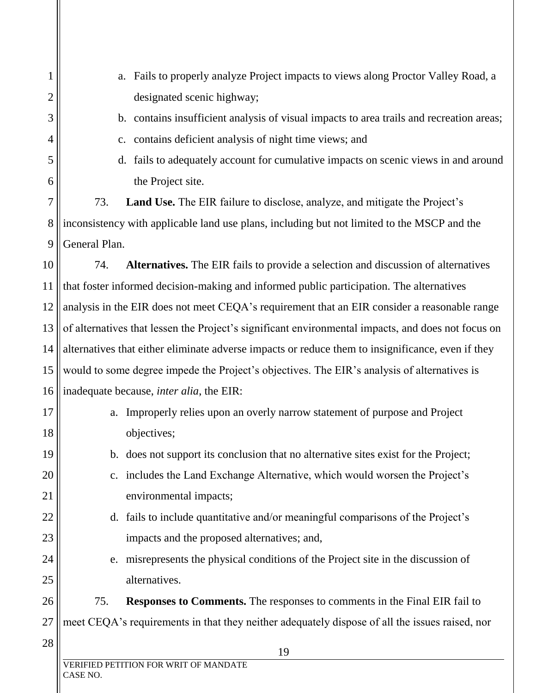| 1              | Fails to properly analyze Project impacts to views along Proctor Valley Road, a<br>a.              |  |
|----------------|----------------------------------------------------------------------------------------------------|--|
| $\overline{c}$ | designated scenic highway;                                                                         |  |
| 3              | b. contains insufficient analysis of visual impacts to area trails and recreation areas;           |  |
| 4              | c. contains deficient analysis of night time views; and                                            |  |
| 5              | d. fails to adequately account for cumulative impacts on scenic views in and around                |  |
| 6              | the Project site.                                                                                  |  |
| 7              | 73.<br><b>Land Use.</b> The EIR failure to disclose, analyze, and mitigate the Project's           |  |
| 8              | inconsistency with applicable land use plans, including but not limited to the MSCP and the        |  |
| 9              | General Plan.                                                                                      |  |
| 10             | <b>Alternatives.</b> The EIR fails to provide a selection and discussion of alternatives<br>74.    |  |
| 11             | that foster informed decision-making and informed public participation. The alternatives           |  |
| 12             | analysis in the EIR does not meet CEQA's requirement that an EIR consider a reasonable range       |  |
| 13             | of alternatives that lessen the Project's significant environmental impacts, and does not focus on |  |
| 14             | alternatives that either eliminate adverse impacts or reduce them to insignificance, even if they  |  |
| 15             | would to some degree impede the Project's objectives. The EIR's analysis of alternatives is        |  |
| 16             | inadequate because, <i>inter alia</i> , the EIR:                                                   |  |
| 17             | Improperly relies upon an overly narrow statement of purpose and Project<br>a.                     |  |
| 18             | objectives;                                                                                        |  |
| 19             | b. does not support its conclusion that no alternative sites exist for the Project;                |  |
| 20             | includes the Land Exchange Alternative, which would worsen the Project's<br>$\mathbf{c}$ .         |  |
| 21             | environmental impacts;                                                                             |  |
| 22             | d. fails to include quantitative and/or meaningful comparisons of the Project's                    |  |
| 23             | impacts and the proposed alternatives; and,                                                        |  |
| 24             | misrepresents the physical conditions of the Project site in the discussion of<br>e.               |  |
| 25             | alternatives.                                                                                      |  |
| 26             | 75.<br><b>Responses to Comments.</b> The responses to comments in the Final EIR fail to            |  |
| 27             | meet CEQA's requirements in that they neither adequately dispose of all the issues raised, nor     |  |
| 28             | 19                                                                                                 |  |
|                | VERIFIED PETITION FOR WRIT OF MANDATE<br>CASE NO.                                                  |  |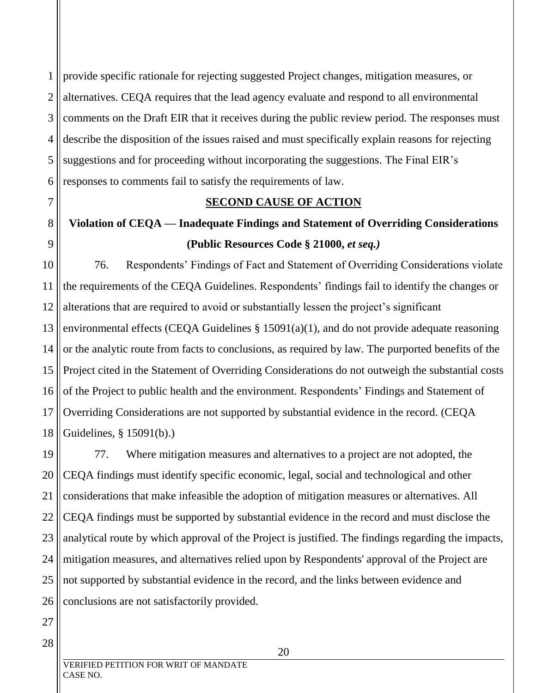1 2 3 provide specific rationale for rejecting suggested Project changes, mitigation measures, or alternatives. CEQA requires that the lead agency evaluate and respond to all environmental comments on the Draft EIR that it receives during the public review period. The responses must describe the disposition of the issues raised and must specifically explain reasons for rejecting suggestions and for proceeding without incorporating the suggestions. The Final EIR's responses to comments fail to satisfy the requirements of law.

**SECOND CAUSE OF ACTION Violation of CEQA — Inadequate Findings and Statement of Overriding Considerations (Public Resources Code § 21000,** *et seq.)* 76. Respondents' Findings of Fact and Statement of Overriding Considerations violate the requirements of the CEQA Guidelines. Respondents' findings fail to identify the changes or alterations that are required to avoid or substantially lessen the project's significant environmental effects (CEQA Guidelines § 15091(a)(1), and do not provide adequate reasoning or the analytic route from facts to conclusions, as required by law. The purported benefits of the Project cited in the Statement of Overriding Considerations do not outweigh the substantial costs of the Project to public health and the environment. Respondents' Findings and Statement of

Overriding Considerations are not supported by substantial evidence in the record. (CEQA Guidelines, § 15091(b).)

21 22 23 24 25 26 77. Where mitigation measures and alternatives to a project are not adopted, the CEQA findings must identify specific economic, legal, social and technological and other considerations that make infeasible the adoption of mitigation measures or alternatives. All CEQA findings must be supported by substantial evidence in the record and must disclose the analytical route by which approval of the Project is justified. The findings regarding the impacts, mitigation measures, and alternatives relied upon by Respondents' approval of the Project are not supported by substantial evidence in the record, and the links between evidence and conclusions are not satisfactorily provided.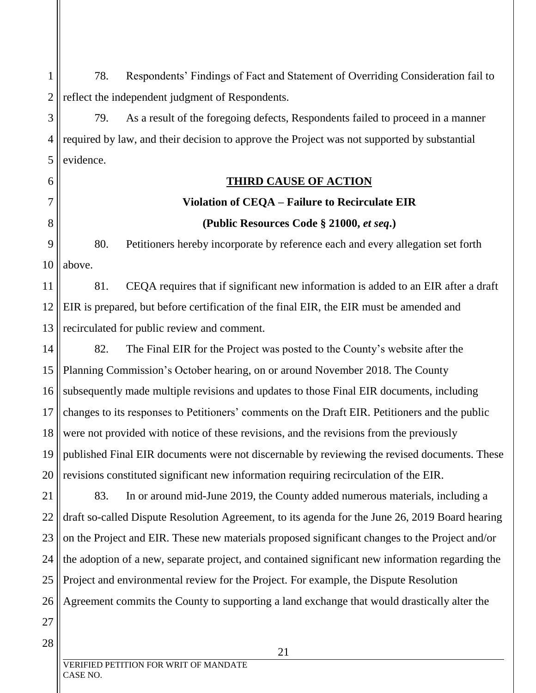1 2 78. Respondents' Findings of Fact and Statement of Overriding Consideration fail to reflect the independent judgment of Respondents.

3 4 5 79. As a result of the foregoing defects, Respondents failed to proceed in a manner required by law, and their decision to approve the Project was not supported by substantial evidence.

### **THIRD CAUSE OF ACTION**

# **Violation of CEQA – Failure to Recirculate EIR (Public Resources Code § 21000,** *et seq***.)**

9 10 80. Petitioners hereby incorporate by reference each and every allegation set forth above.

11 12 13 81. CEQA requires that if significant new information is added to an EIR after a draft EIR is prepared, but before certification of the final EIR, the EIR must be amended and recirculated for public review and comment.

14 15 16 17 18 19 20 82. The Final EIR for the Project was posted to the County's website after the Planning Commission's October hearing, on or around November 2018. The County subsequently made multiple revisions and updates to those Final EIR documents, including changes to its responses to Petitioners' comments on the Draft EIR. Petitioners and the public were not provided with notice of these revisions, and the revisions from the previously published Final EIR documents were not discernable by reviewing the revised documents. These revisions constituted significant new information requiring recirculation of the EIR.

21 22 23 24 25 26 83. In or around mid-June 2019, the County added numerous materials, including a draft so-called Dispute Resolution Agreement, to its agenda for the June 26, 2019 Board hearing on the Project and EIR. These new materials proposed significant changes to the Project and/or the adoption of a new, separate project, and contained significant new information regarding the Project and environmental review for the Project. For example, the Dispute Resolution Agreement commits the County to supporting a land exchange that would drastically alter the

27 28

6

7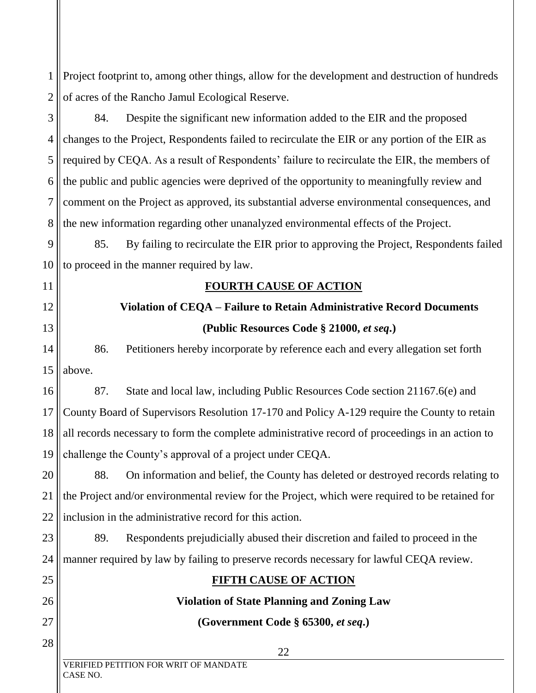1 2 Project footprint to, among other things, allow for the development and destruction of hundreds of acres of the Rancho Jamul Ecological Reserve.

3 4 5 6 7 8 84. Despite the significant new information added to the EIR and the proposed changes to the Project, Respondents failed to recirculate the EIR or any portion of the EIR as required by CEQA. As a result of Respondents' failure to recirculate the EIR, the members of the public and public agencies were deprived of the opportunity to meaningfully review and comment on the Project as approved, its substantial adverse environmental consequences, and the new information regarding other unanalyzed environmental effects of the Project.

9 10 85. By failing to recirculate the EIR prior to approving the Project, Respondents failed to proceed in the manner required by law.

### **FOURTH CAUSE OF ACTION**

# **Violation of CEQA – Failure to Retain Administrative Record Documents (Public Resources Code § 21000,** *et seq***.)**

14 15 86. Petitioners hereby incorporate by reference each and every allegation set forth above.

16 17 18 19 87. State and local law, including Public Resources Code section 21167.6(e) and County Board of Supervisors Resolution 17-170 and Policy A-129 require the County to retain all records necessary to form the complete administrative record of proceedings in an action to challenge the County's approval of a project under CEQA.

20 21 22 88. On information and belief, the County has deleted or destroyed records relating to the Project and/or environmental review for the Project, which were required to be retained for inclusion in the administrative record for this action.

#### 23 24 89. Respondents prejudicially abused their discretion and failed to proceed in the manner required by law by failing to preserve records necessary for lawful CEQA review.

# **FIFTH CAUSE OF ACTION**

# **Violation of State Planning and Zoning Law**

# **(Government Code § 65300,** *et seq***.)**

11

12

13

25

26

27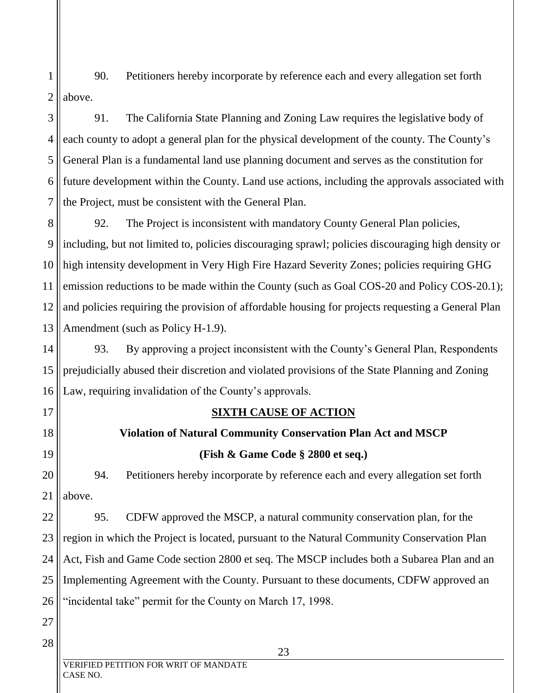1 2 90. Petitioners hereby incorporate by reference each and every allegation set forth above.

3 4 5 6 7 91. The California State Planning and Zoning Law requires the legislative body of each county to adopt a general plan for the physical development of the county. The County's General Plan is a fundamental land use planning document and serves as the constitution for future development within the County. Land use actions, including the approvals associated with the Project, must be consistent with the General Plan.

8 9 10 11 12 13 92. The Project is inconsistent with mandatory County General Plan policies, including, but not limited to, policies discouraging sprawl; policies discouraging high density or high intensity development in Very High Fire Hazard Severity Zones; policies requiring GHG emission reductions to be made within the County (such as Goal COS-20 and Policy COS-20.1); and policies requiring the provision of affordable housing for projects requesting a General Plan Amendment (such as Policy H-1.9).

14 15 16 93. By approving a project inconsistent with the County's General Plan, Respondents prejudicially abused their discretion and violated provisions of the State Planning and Zoning Law, requiring invalidation of the County's approvals.

17

18

19

20

21

### **SIXTH CAUSE OF ACTION**

# **Violation of Natural Community Conservation Plan Act and MSCP (Fish & Game Code § 2800 et seq.)**

94. Petitioners hereby incorporate by reference each and every allegation set forth above.

22 23 24 25 26 95. CDFW approved the MSCP, a natural community conservation plan, for the region in which the Project is located, pursuant to the Natural Community Conservation Plan Act, Fish and Game Code section 2800 et seq. The MSCP includes both a Subarea Plan and an Implementing Agreement with the County. Pursuant to these documents, CDFW approved an "incidental take" permit for the County on March 17, 1998.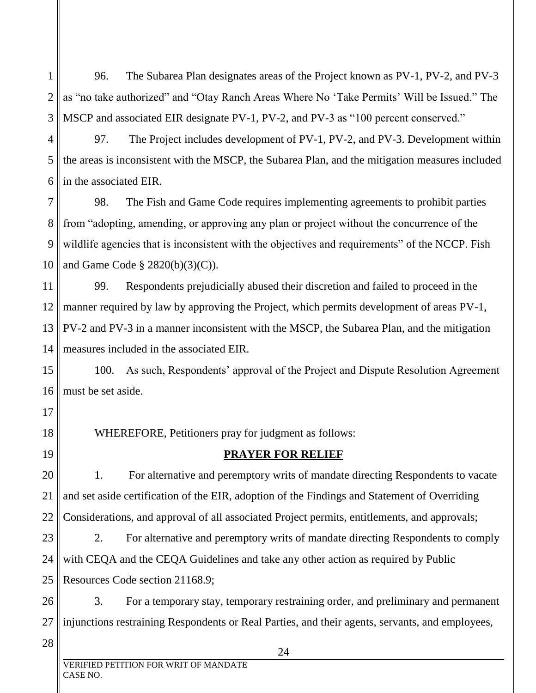1 2 3 96. The Subarea Plan designates areas of the Project known as PV-1, PV-2, and PV-3 as "no take authorized" and "Otay Ranch Areas Where No 'Take Permits' Will be Issued." The MSCP and associated EIR designate PV-1, PV-2, and PV-3 as "100 percent conserved."

4 5 6 97. The Project includes development of PV-1, PV-2, and PV-3. Development within the areas is inconsistent with the MSCP, the Subarea Plan, and the mitigation measures included in the associated EIR.

7 8 9 10 98. The Fish and Game Code requires implementing agreements to prohibit parties from "adopting, amending, or approving any plan or project without the concurrence of the wildlife agencies that is inconsistent with the objectives and requirements" of the NCCP. Fish and Game Code § 2820(b)(3)(C)).

11 12 13 14 99. Respondents prejudicially abused their discretion and failed to proceed in the manner required by law by approving the Project, which permits development of areas PV-1, PV-2 and PV-3 in a manner inconsistent with the MSCP, the Subarea Plan, and the mitigation measures included in the associated EIR.

15 16 100. As such, Respondents' approval of the Project and Dispute Resolution Agreement must be set aside.

17 18 19

WHEREFORE, Petitioners pray for judgment as follows:

### **PRAYER FOR RELIEF**

20 21 22 1. For alternative and peremptory writs of mandate directing Respondents to vacate and set aside certification of the EIR, adoption of the Findings and Statement of Overriding Considerations, and approval of all associated Project permits, entitlements, and approvals;

23 24 25 2. For alternative and peremptory writs of mandate directing Respondents to comply with CEQA and the CEQA Guidelines and take any other action as required by Public Resources Code section 21168.9;

26 27 3. For a temporary stay, temporary restraining order, and preliminary and permanent injunctions restraining Respondents or Real Parties, and their agents, servants, and employees,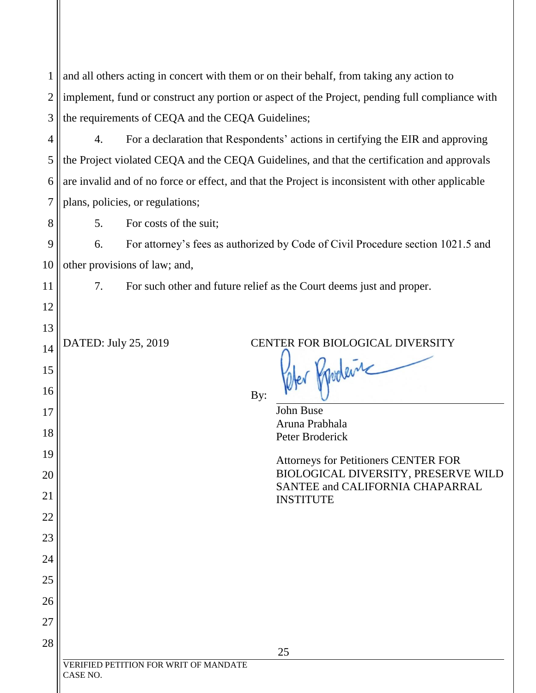| $\mathbf{1}$   | and all others acting in concert with them or on their behalf, from taking any action to          |  |
|----------------|---------------------------------------------------------------------------------------------------|--|
| $\overline{2}$ | implement, fund or construct any portion or aspect of the Project, pending full compliance with   |  |
| 3              | the requirements of CEQA and the CEQA Guidelines;                                                 |  |
| $\overline{4}$ | 4.<br>For a declaration that Respondents' actions in certifying the EIR and approving             |  |
| 5              | the Project violated CEQA and the CEQA Guidelines, and that the certification and approvals       |  |
| 6              | are invalid and of no force or effect, and that the Project is inconsistent with other applicable |  |
| 7              | plans, policies, or regulations;                                                                  |  |
| 8              | 5.<br>For costs of the suit;                                                                      |  |
| 9              | For attorney's fees as authorized by Code of Civil Procedure section 1021.5 and<br>6.             |  |
| 10             | other provisions of law; and,                                                                     |  |
| 11             | 7.<br>For such other and future relief as the Court deems just and proper.                        |  |
| 12             |                                                                                                   |  |
| 13             |                                                                                                   |  |
| 14             | DATED: July 25, 2019<br>CENTER FOR BIOLOGICAL DIVERSITY                                           |  |
| 15             | Mer Prodent                                                                                       |  |
| 16             | By:                                                                                               |  |
| 17             | <b>John Buse</b><br>Aruna Prabhala                                                                |  |
| 18             | Peter Broderick                                                                                   |  |
| 19             | <b>Attorneys for Petitioners CENTER FOR</b>                                                       |  |
| 20             | BIOLOGICAL DIVERSITY, PRESERVE WILD<br>SANTEE and CALIFORNIA CHAPARRAL                            |  |
| 21             | <b>INSTITUTE</b>                                                                                  |  |
| 22             |                                                                                                   |  |
| 23             |                                                                                                   |  |
| 24             |                                                                                                   |  |
| 25             |                                                                                                   |  |
| 26             |                                                                                                   |  |
| 27<br>28       |                                                                                                   |  |
|                | 25<br>VERIFIED PETITION FOR WRIT OF MANDATE                                                       |  |
|                | CASE NO.                                                                                          |  |
|                |                                                                                                   |  |